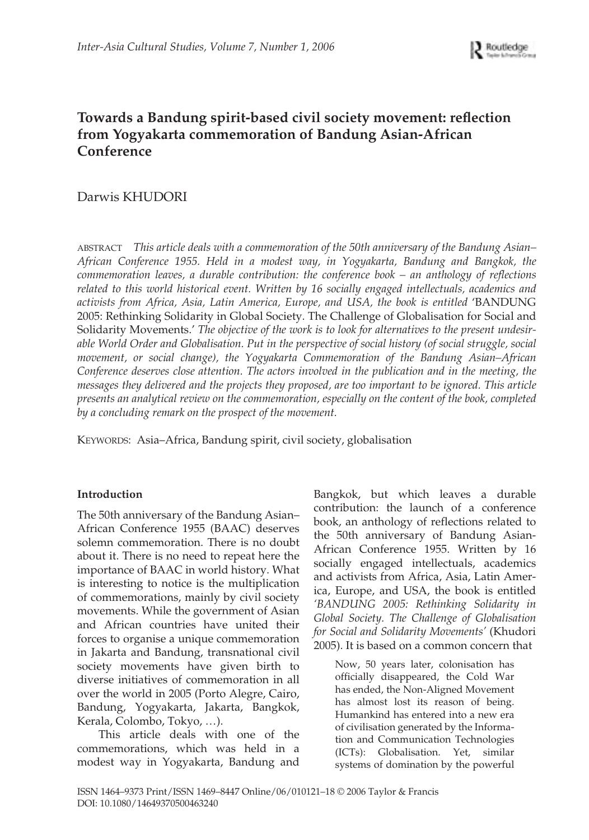# **Towards a Bandung spirit-based civil society movement: reflection from Yogyakarta commemoration of Bandung Asian-African Conference**

### Darwis KHUDORI

Taylor and Francis Ltd ABSTRACT *This article deals with a commemoration of the 50th anniversary of the Bandung Asian– African Conference 1955. Held in a modest way, in Yogyakarta, Bandung and Bangkok, the commemoration leaves, a durable contribution: the conference book – an anthology of reflections related to this world historical event. Written by 16 socially engaged intellectuals, academics and activists from Africa, Asia, Latin America, Europe, and USA, the book is entitled* 'BANDUNG 2005: Rethinking Solidarity in Global Society. The Challenge of Globalisation for Social and Solidarity Movements.' *The objective of the work is to look for alternatives to the present undesirable World Order and Globalisation. Put in the perspective of social history (of social struggle, social movement, or social change), the Yogyakarta Commemoration of the Bandung Asian–African Conference deserves close attention. The actors involved in the publication and in the meeting, the messages they delivered and the projects they proposed, are too important to be ignored. This article presents an analytical review on the commemoration, especially on the content of the book, completed by a concluding remark on the prospect of the movement.*

KEYWORDS: Asia–Africa, Bandung spirit, civil society, globalisation

### **Introduction**

The 50th anniversary of the Bandung Asian– African Conference 1955 (BAAC) deserves solemn commemoration. There is no doubt about it. There is no need to repeat here the importance of BAAC in world history. What is interesting to notice is the multiplication of commemorations, mainly by civil society movements. While the government of Asian and African countries have united their forces to organise a unique commemoration in Jakarta and Bandung, transnational civil society movements have given birth to diverse initiatives of commemoration in all over the world in 2005 (Porto Alegre, Cairo, Bandung, Yogyakarta, Jakarta, Bangkok, Kerala, Colombo, Tokyo, …).

This article deals with one of the commemorations, which was held in a modest way in Yogyakarta, Bandung and

Bangkok, but which leaves a durable contribution: the launch of a conference book, an anthology of reflections related to the 50th anniversary of Bandung Asian-African Conference 1955. Written by 16 socially engaged intellectuals, academics and activists from Africa, Asia, Latin America, Europe, and USA, the book is entitled *'BANDUNG 2005: Rethinking Solidarity in Global Society. The Challenge of Globalisation for Social and Solidarity Movements'* (Khudori 2005). It is based on a common concern that

Now, 50 years later, colonisation has officially disappeared, the Cold War has ended, the Non-Aligned Movement has almost lost its reason of being. Humankind has entered into a new era of civilisation generated by the Information and Communication Technologies (ICTs): Globalisation. Yet, similar systems of domination by the powerful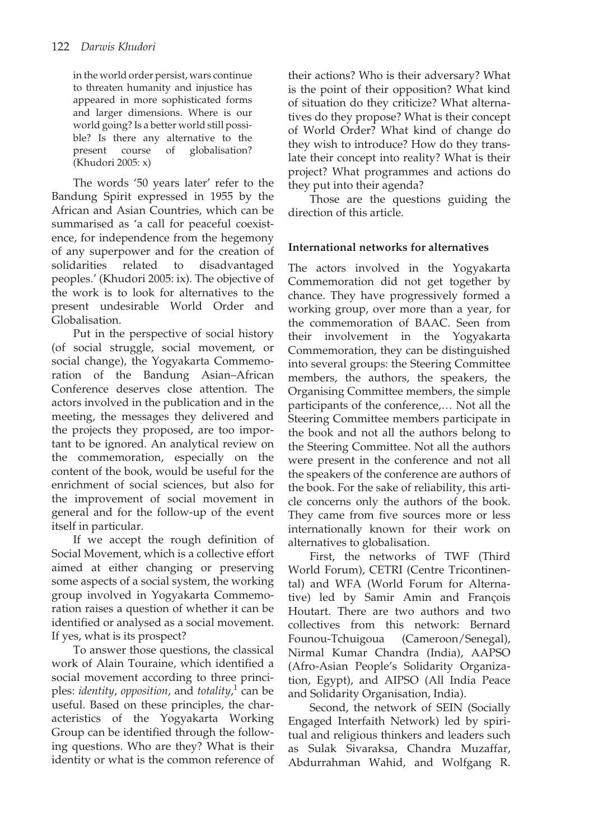in the world order persist, wars continue to threaten humanity and injustice has appeared in more sophisticated forms and larger dimensions. Where is our world going? Is a better world still possible? Is there any alternative to the present course of globalisation? (Khudori 2005: x)

The words '50 years later' refer to the Bandung Spirit expressed in 1955 by the African and Asian Countries, which can be summarised as 'a call for peaceful coexistence, for independence from the hegemony of any superpower and for the creation of solidarities related to disadvantaged peoples.' (Khudori 2005: ix). The objective of the work is to look for alternatives to the present undesirable World Order and Globalisation.

Put in the perspective of social history (of social struggle, social movement, or social change), the Yogyakarta Commemoration of the Bandung Asian–African Conference deserves close attention. The actors involved in the publication and in the meeting, the messages they delivered and the projects they proposed, are too important to be ignored. An analytical review on the commemoration, especially on the content of the book, would be useful for the enrichment of social sciences, but also for the improvement of social movement in general and for the follow-up of the event itself in particular.

If we accept the rough definition of Social Movement, which is a collective effort aimed at either changing or preserving some aspects of a social system, the working group involved in Yogyakarta Commemoration raises a question of whether it can be identified or analysed as a social movement. If yes, what is its prospect?

To answer those questions, the classical work of Alain Touraine, which identified a social movement according to three principles: *identity*, *opposition*, and *totality*, <sup>1</sup> can be useful. Based on these principles, the characteristics of the Yogyakarta Working Group can be identified through the following questions. Who are they? What is their identity or what is the common reference of their actions? Who is their adversary? What is the point of their opposition? What kind of situation do they criticize? What alternatives do they propose? What is their concept of World Order? What kind of change do they wish to introduce? How do they translate their concept into reality? What is their project? What programmes and actions do they put into their agenda?

Those are the questions guiding the direction of this article.

### **International networks for alternatives**

The actors involved in the Yogyakarta Commemoration did not get together by chance. They have progressively formed a working group, over more than a year, for the commemoration of BAAC. Seen from their involvement in the Yogyakarta Commemoration, they can be distinguished into several groups: the Steering Committee members, the authors, the speakers, the Organising Committee members, the simple participants of the conference,… Not all the Steering Committee members participate in the book and not all the authors belong to the Steering Committee. Not all the authors were present in the conference and not all the speakers of the conference are authors of the book. For the sake of reliability, this article concerns only the authors of the book. They came from five sources more or less internationally known for their work on alternatives to globalisation.

First, the networks of TWF (Third World Forum), CETRI (Centre Tricontinental) and WFA (World Forum for Alternative) led by Samir Amin and François Houtart. There are two authors and two collectives from this network: Bernard Founou-Tchuigoua (Cameroon/Senegal), Nirmal Kumar Chandra (India), AAPSO (Afro-Asian People's Solidarity Organization, Egypt), and AIPSO (All India Peace and Solidarity Organisation, India).

Second, the network of SEIN (Socially Engaged Interfaith Network) led by spiritual and religious thinkers and leaders such as Sulak Sivaraksa, Chandra Muzaffar, Abdurrahman Wahid, and Wolfgang R.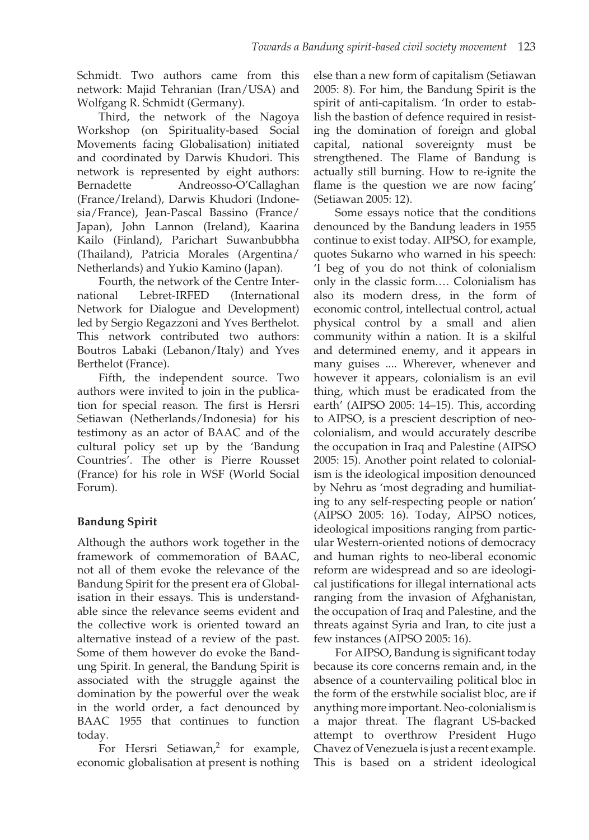Schmidt. Two authors came from this network: Majid Tehranian (Iran/USA) and Wolfgang R. Schmidt (Germany).

Third, the network of the Nagoya Workshop (on Spirituality-based Social Movements facing Globalisation) initiated and coordinated by Darwis Khudori. This network is represented by eight authors: Bernadette Andreosso-O'Callaghan (France/Ireland), Darwis Khudori (Indonesia/France), Jean-Pascal Bassino (France/ Japan), John Lannon (Ireland), Kaarina Kailo (Finland), Parichart Suwanbubbha (Thailand), Patricia Morales (Argentina/ Netherlands) and Yukio Kamino (Japan).

Fourth, the network of the Centre International Lebret-IRFED (International Network for Dialogue and Development) led by Sergio Regazzoni and Yves Berthelot. This network contributed two authors: Boutros Labaki (Lebanon/Italy) and Yves Berthelot (France).

Fifth, the independent source. Two authors were invited to join in the publication for special reason. The first is Hersri Setiawan (Netherlands/Indonesia) for his testimony as an actor of BAAC and of the cultural policy set up by the 'Bandung Countries'. The other is Pierre Rousset (France) for his role in WSF (World Social Forum).

## **Bandung Spirit**

Although the authors work together in the framework of commemoration of BAAC, not all of them evoke the relevance of the Bandung Spirit for the present era of Globalisation in their essays. This is understandable since the relevance seems evident and the collective work is oriented toward an alternative instead of a review of the past. Some of them however do evoke the Bandung Spirit. In general, the Bandung Spirit is associated with the struggle against the domination by the powerful over the weak in the world order, a fact denounced by BAAC 1955 that continues to function today.

For Hersri Setiawan,<sup>2</sup> for example, economic globalisation at present is nothing else than a new form of capitalism (Setiawan 2005: 8). For him, the Bandung Spirit is the spirit of anti-capitalism. 'In order to establish the bastion of defence required in resisting the domination of foreign and global capital, national sovereignty must be strengthened. The Flame of Bandung is actually still burning. How to re-ignite the flame is the question we are now facing' (Setiawan 2005: 12).

Some essays notice that the conditions denounced by the Bandung leaders in 1955 continue to exist today. AIPSO, for example, quotes Sukarno who warned in his speech: 'I beg of you do not think of colonialism only in the classic form.… Colonialism has also its modern dress, in the form of economic control, intellectual control, actual physical control by a small and alien community within a nation. It is a skilful and determined enemy, and it appears in many guises .... Wherever, whenever and however it appears, colonialism is an evil thing, which must be eradicated from the earth' (AIPSO 2005: 14–15). This, according to AIPSO, is a prescient description of neocolonialism, and would accurately describe the occupation in Iraq and Palestine (AIPSO 2005: 15). Another point related to colonialism is the ideological imposition denounced by Nehru as 'most degrading and humiliating to any self-respecting people or nation' (AIPSO 2005: 16). Today, AIPSO notices, ideological impositions ranging from particular Western-oriented notions of democracy and human rights to neo-liberal economic reform are widespread and so are ideological justifications for illegal international acts ranging from the invasion of Afghanistan, the occupation of Iraq and Palestine, and the threats against Syria and Iran, to cite just a few instances (AIPSO 2005: 16).

For AIPSO, Bandung is significant today because its core concerns remain and, in the absence of a countervailing political bloc in the form of the erstwhile socialist bloc, are if anything more important. Neo-colonialism is a major threat. The flagrant US-backed attempt to overthrow President Hugo Chavez of Venezuela is just a recent example. This is based on a strident ideological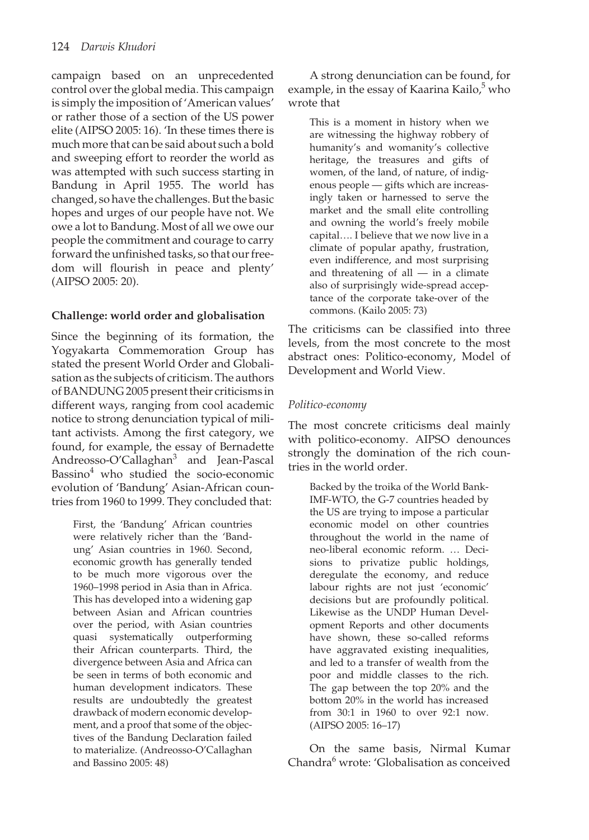campaign based on an unprecedented control over the global media. This campaign is simply the imposition of 'American values' or rather those of a section of the US power elite (AIPSO 2005: 16). 'In these times there is much more that can be said about such a bold and sweeping effort to reorder the world as was attempted with such success starting in Bandung in April 1955. The world has changed, so have the challenges. But the basic hopes and urges of our people have not. We owe a lot to Bandung. Most of all we owe our people the commitment and courage to carry forward the unfinished tasks, so that our freedom will flourish in peace and plenty' (AIPSO 2005: 20).

### **Challenge: world order and globalisation**

Since the beginning of its formation, the Yogyakarta Commemoration Group has stated the present World Order and Globalisation as the subjects of criticism. The authors of BANDUNG 2005 present their criticisms in different ways, ranging from cool academic notice to strong denunciation typical of militant activists. Among the first category, we found, for example, the essay of Bernadette Andreosso-O'Callaghan<sup>3</sup> and Jean-Pascal Bassino $<sup>4</sup>$  who studied the socio-economic</sup> evolution of 'Bandung' Asian-African countries from 1960 to 1999. They concluded that:

First, the 'Bandung' African countries were relatively richer than the 'Bandung' Asian countries in 1960. Second, economic growth has generally tended to be much more vigorous over the 1960–1998 period in Asia than in Africa. This has developed into a widening gap between Asian and African countries over the period, with Asian countries quasi systematically outperforming their African counterparts. Third, the divergence between Asia and Africa can be seen in terms of both economic and human development indicators. These results are undoubtedly the greatest drawback of modern economic development, and a proof that some of the objectives of the Bandung Declaration failed to materialize. (Andreosso-O'Callaghan and Bassino 2005: 48)

A strong denunciation can be found, for example, in the essay of Kaarina Kailo, $5$  who wrote that

This is a moment in history when we are witnessing the highway robbery of humanity's and womanity's collective heritage, the treasures and gifts of women, of the land, of nature, of indigenous people — gifts which are increasingly taken or harnessed to serve the market and the small elite controlling and owning the world's freely mobile capital…. I believe that we now live in a climate of popular apathy, frustration, even indifference, and most surprising and threatening of all  $-$  in a climate also of surprisingly wide-spread acceptance of the corporate take-over of the commons. (Kailo 2005: 73)

The criticisms can be classified into three levels, from the most concrete to the most abstract ones: Politico-economy, Model of Development and World View.

### *Politico-economy*

The most concrete criticisms deal mainly with politico-economy. AIPSO denounces strongly the domination of the rich countries in the world order.

Backed by the troika of the World Bank-IMF-WTO, the G-7 countries headed by the US are trying to impose a particular economic model on other countries throughout the world in the name of neo-liberal economic reform. … Decisions to privatize public holdings, deregulate the economy, and reduce labour rights are not just 'economic' decisions but are profoundly political. Likewise as the UNDP Human Development Reports and other documents have shown, these so-called reforms have aggravated existing inequalities, and led to a transfer of wealth from the poor and middle classes to the rich. The gap between the top 20% and the bottom 20% in the world has increased from 30:1 in 1960 to over 92:1 now. (AIPSO 2005: 16–17)

On the same basis, Nirmal Kumar Chandra<sup>6</sup> wrote: 'Globalisation as conceived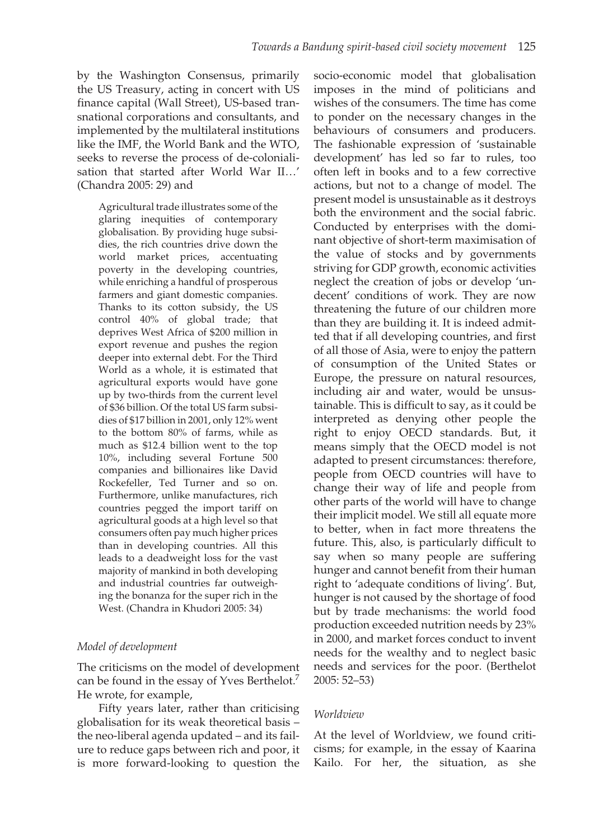by the Washington Consensus, primarily the US Treasury, acting in concert with US finance capital (Wall Street), US-based transnational corporations and consultants, and implemented by the multilateral institutions like the IMF, the World Bank and the WTO, seeks to reverse the process of de-colonialisation that started after World War II…' (Chandra 2005: 29) and

Agricultural trade illustrates some of the glaring inequities of contemporary globalisation. By providing huge subsidies, the rich countries drive down the world market prices, accentuating poverty in the developing countries, while enriching a handful of prosperous farmers and giant domestic companies. Thanks to its cotton subsidy, the US control 40% of global trade; that deprives West Africa of \$200 million in export revenue and pushes the region deeper into external debt. For the Third World as a whole, it is estimated that agricultural exports would have gone up by two-thirds from the current level of \$36 billion. Of the total US farm subsidies of \$17 billion in 2001, only 12% went to the bottom 80% of farms, while as much as \$12.4 billion went to the top 10%, including several Fortune 500 companies and billionaires like David Rockefeller, Ted Turner and so on. Furthermore, unlike manufactures, rich countries pegged the import tariff on agricultural goods at a high level so that consumers often pay much higher prices than in developing countries. All this leads to a deadweight loss for the vast majority of mankind in both developing and industrial countries far outweighing the bonanza for the super rich in the West. (Chandra in Khudori 2005: 34)

#### *Model of development*

The criticisms on the model of development can be found in the essay of Yves Berthelot.<sup>7</sup> He wrote, for example,

Fifty years later, rather than criticising globalisation for its weak theoretical basis – the neo-liberal agenda updated – and its failure to reduce gaps between rich and poor, it is more forward-looking to question the

socio-economic model that globalisation imposes in the mind of politicians and wishes of the consumers. The time has come to ponder on the necessary changes in the behaviours of consumers and producers. The fashionable expression of 'sustainable development' has led so far to rules, too often left in books and to a few corrective actions, but not to a change of model. The present model is unsustainable as it destroys both the environment and the social fabric. Conducted by enterprises with the dominant objective of short-term maximisation of the value of stocks and by governments striving for GDP growth, economic activities neglect the creation of jobs or develop 'undecent' conditions of work. They are now threatening the future of our children more than they are building it. It is indeed admitted that if all developing countries, and first of all those of Asia, were to enjoy the pattern of consumption of the United States or Europe, the pressure on natural resources, including air and water, would be unsustainable. This is difficult to say, as it could be interpreted as denying other people the right to enjoy OECD standards. But, it means simply that the OECD model is not adapted to present circumstances: therefore, people from OECD countries will have to change their way of life and people from other parts of the world will have to change their implicit model. We still all equate more to better, when in fact more threatens the future. This, also, is particularly difficult to say when so many people are suffering hunger and cannot benefit from their human right to 'adequate conditions of living'. But, hunger is not caused by the shortage of food but by trade mechanisms: the world food production exceeded nutrition needs by 23% in 2000, and market forces conduct to invent needs for the wealthy and to neglect basic needs and services for the poor. (Berthelot 2005: 52–53)

### *Worldview*

At the level of Worldview, we found criticisms; for example, in the essay of Kaarina Kailo. For her, the situation, as she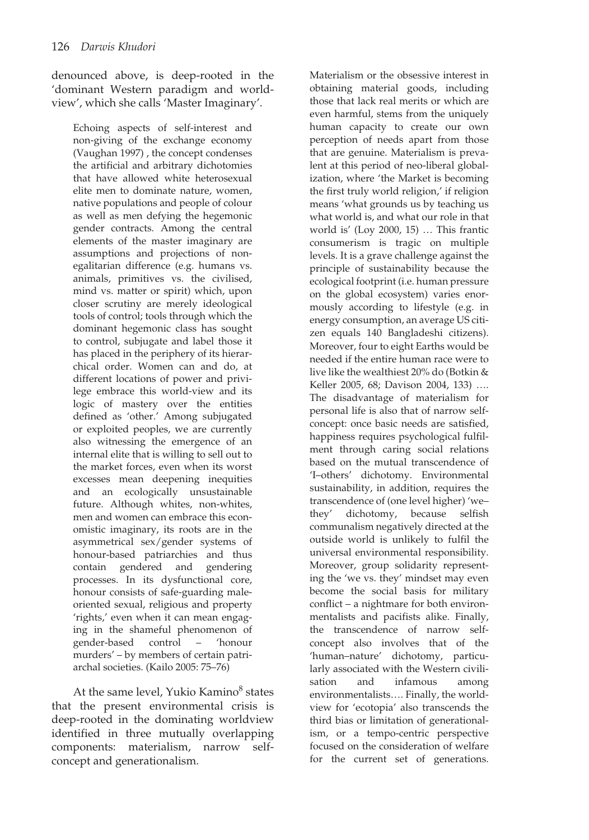denounced above, is deep-rooted in the 'dominant Western paradigm and worldview', which she calls 'Master Imaginary'.

Echoing aspects of self-interest and non-giving of the exchange economy (Vaughan 1997) , the concept condenses the artificial and arbitrary dichotomies that have allowed white heterosexual elite men to dominate nature, women, native populations and people of colour as well as men defying the hegemonic gender contracts. Among the central elements of the master imaginary are assumptions and projections of nonegalitarian difference (e.g. humans vs. animals, primitives vs. the civilised, mind vs. matter or spirit) which, upon closer scrutiny are merely ideological tools of control; tools through which the dominant hegemonic class has sought to control, subjugate and label those it has placed in the periphery of its hierarchical order. Women can and do, at different locations of power and privilege embrace this world-view and its logic of mastery over the entities defined as 'other.' Among subjugated or exploited peoples, we are currently also witnessing the emergence of an internal elite that is willing to sell out to the market forces, even when its worst excesses mean deepening inequities and an ecologically unsustainable future. Although whites, non-whites, men and women can embrace this economistic imaginary, its roots are in the asymmetrical sex/gender systems of honour-based patriarchies and thus contain gendered and gendering processes. In its dysfunctional core, honour consists of safe-guarding maleoriented sexual, religious and property 'rights,' even when it can mean engaging in the shameful phenomenon of gender-based control – 'honour murders' – by members of certain patriarchal societies. (Kailo 2005: 75–76)

At the same level, Yukio Kamino $\delta$  states that the present environmental crisis is deep-rooted in the dominating worldview identified in three mutually overlapping components: materialism, narrow selfconcept and generationalism.

Materialism or the obsessive interest in obtaining material goods, including those that lack real merits or which are even harmful, stems from the uniquely human capacity to create our own perception of needs apart from those that are genuine. Materialism is prevalent at this period of neo-liberal globalization, where 'the Market is becoming the first truly world religion,' if religion means 'what grounds us by teaching us what world is, and what our role in that world is' (Loy 2000, 15) … This frantic consumerism is tragic on multiple levels. It is a grave challenge against the principle of sustainability because the ecological footprint (i.e. human pressure on the global ecosystem) varies enormously according to lifestyle (e.g. in energy consumption, an average US citizen equals 140 Bangladeshi citizens). Moreover, four to eight Earths would be needed if the entire human race were to live like the wealthiest 20% do (Botkin & Keller 2005, 68; Davison 2004, 133) …. The disadvantage of materialism for personal life is also that of narrow selfconcept: once basic needs are satisfied, happiness requires psychological fulfilment through caring social relations based on the mutual transcendence of 'I–others' dichotomy. Environmental sustainability, in addition, requires the transcendence of (one level higher) 'we– they' dichotomy, because selfish communalism negatively directed at the outside world is unlikely to fulfil the universal environmental responsibility. Moreover, group solidarity representing the 'we vs. they' mindset may even become the social basis for military conflict – a nightmare for both environmentalists and pacifists alike. Finally, the transcendence of narrow selfconcept also involves that of the 'human–nature' dichotomy, particularly associated with the Western civilisation and infamous among environmentalists…. Finally, the worldview for 'ecotopia' also transcends the third bias or limitation of generationalism, or a tempo-centric perspective focused on the consideration of welfare for the current set of generations.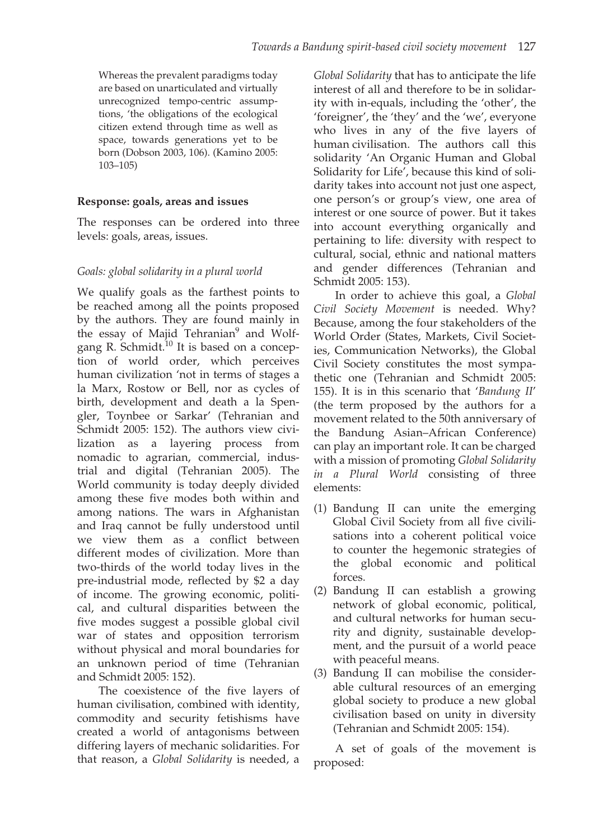Whereas the prevalent paradigms today are based on unarticulated and virtually unrecognized tempo-centric assumptions, 'the obligations of the ecological citizen extend through time as well as space, towards generations yet to be born (Dobson 2003, 106). (Kamino 2005: 103–105)

#### **Response: goals, areas and issues**

The responses can be ordered into three levels: goals, areas, issues.

### *Goals: global solidarity in a plural world*

We qualify goals as the farthest points to be reached among all the points proposed by the authors. They are found mainly in the essay of Majid Tehranian<sup>9</sup> and Wolfgang R. Schmidt.<sup>10</sup> It is based on a conception of world order, which perceives human civilization 'not in terms of stages a la Marx, Rostow or Bell, nor as cycles of birth, development and death a la Spengler, Toynbee or Sarkar' (Tehranian and Schmidt 2005: 152). The authors view civilization as a layering process from nomadic to agrarian, commercial, industrial and digital (Tehranian 2005). The World community is today deeply divided among these five modes both within and among nations. The wars in Afghanistan and Iraq cannot be fully understood until we view them as a conflict between different modes of civilization. More than two-thirds of the world today lives in the pre-industrial mode, reflected by \$2 a day of income. The growing economic, political, and cultural disparities between the five modes suggest a possible global civil war of states and opposition terrorism without physical and moral boundaries for an unknown period of time (Tehranian and Schmidt 2005: 152).

The coexistence of the five layers of human civilisation, combined with identity, commodity and security fetishisms have created a world of antagonisms between differing layers of mechanic solidarities. For that reason, a *Global Solidarity* is needed, a

*Global Solidarity* that has to anticipate the life interest of all and therefore to be in solidarity with in-equals, including the 'other', the 'foreigner', the 'they' and the 'we', everyone who lives in any of the five layers of human civilisation. The authors call this solidarity 'An Organic Human and Global Solidarity for Life', because this kind of solidarity takes into account not just one aspect, one person's or group's view, one area of interest or one source of power. But it takes into account everything organically and pertaining to life: diversity with respect to cultural, social, ethnic and national matters and gender differences (Tehranian and Schmidt 2005: 153).

In order to achieve this goal, a *Global Civil Society Movement* is needed. Why? Because, among the four stakeholders of the World Order (States, Markets, Civil Societies, Communication Networks), the Global Civil Society constitutes the most sympathetic one (Tehranian and Schmidt 2005: 155). It is in this scenario that '*Bandung II*' (the term proposed by the authors for a movement related to the 50th anniversary of the Bandung Asian–African Conference) can play an important role. It can be charged with a mission of promoting *Global Solidarity in a Plural World* consisting of three elements:

- (1) Bandung II can unite the emerging Global Civil Society from all five civilisations into a coherent political voice to counter the hegemonic strategies of the global economic and political forces.
- (2) Bandung II can establish a growing network of global economic, political, and cultural networks for human security and dignity, sustainable development, and the pursuit of a world peace with peaceful means.
- (3) Bandung II can mobilise the considerable cultural resources of an emerging global society to produce a new global civilisation based on unity in diversity (Tehranian and Schmidt 2005: 154).

A set of goals of the movement is proposed: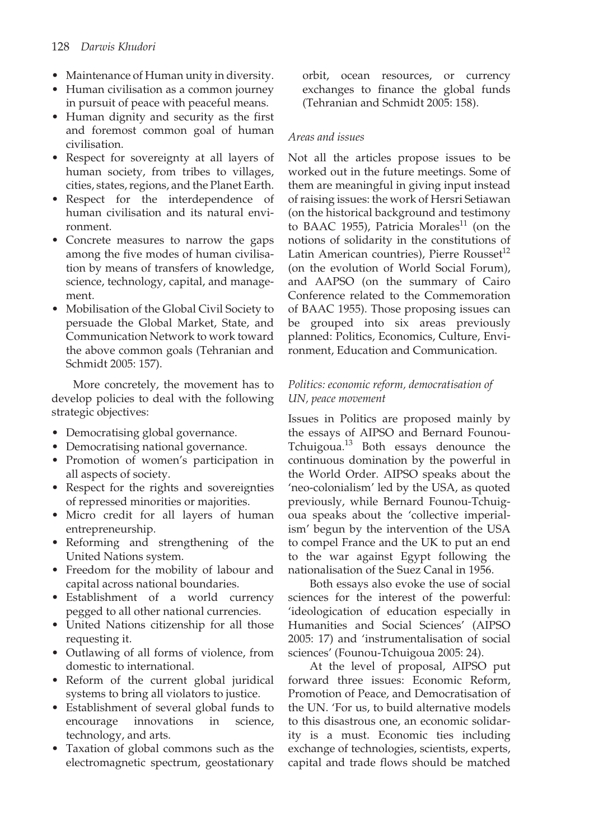- Maintenance of Human unity in diversity.
- Human civilisation as a common journey in pursuit of peace with peaceful means.
- Human dignity and security as the first and foremost common goal of human civilisation.
- Respect for sovereignty at all layers of human society, from tribes to villages, cities, states, regions, and the Planet Earth.
- Respect for the interdependence of human civilisation and its natural environment.
- Concrete measures to narrow the gaps among the five modes of human civilisation by means of transfers of knowledge, science, technology, capital, and management.
- Mobilisation of the Global Civil Society to persuade the Global Market, State, and Communication Network to work toward the above common goals (Tehranian and Schmidt 2005: 157).

More concretely, the movement has to develop policies to deal with the following strategic objectives:

- Democratising global governance.
- Democratising national governance.
- Promotion of women's participation in all aspects of society.
- Respect for the rights and sovereignties of repressed minorities or majorities.
- Micro credit for all layers of human entrepreneurship.
- Reforming and strengthening of the United Nations system.
- Freedom for the mobility of labour and capital across national boundaries.
- Establishment of a world currency pegged to all other national currencies.
- United Nations citizenship for all those requesting it.
- Outlawing of all forms of violence, from domestic to international.
- Reform of the current global juridical systems to bring all violators to justice.
- Establishment of several global funds to encourage innovations in science, technology, and arts.
- Taxation of global commons such as the electromagnetic spectrum, geostationary

orbit, ocean resources, or currency exchanges to finance the global funds (Tehranian and Schmidt 2005: 158).

#### *Areas and issues*

Not all the articles propose issues to be worked out in the future meetings. Some of them are meaningful in giving input instead of raising issues: the work of Hersri Setiawan (on the historical background and testimony to BAAC 1955), Patricia Morales<sup>11</sup> (on the notions of solidarity in the constitutions of Latin American countries), Pierre Rousset<sup>12</sup> (on the evolution of World Social Forum), and AAPSO (on the summary of Cairo Conference related to the Commemoration of BAAC 1955). Those proposing issues can be grouped into six areas previously planned: Politics, Economics, Culture, Environment, Education and Communication.

#### *Politics: economic reform, democratisation of UN, peace movement*

Issues in Politics are proposed mainly by the essays of AIPSO and Bernard Founou-Tchuigoua.<sup>13</sup> Both essays denounce the continuous domination by the powerful in the World Order. AIPSO speaks about the 'neo-colonialism' led by the USA, as quoted previously, while Bernard Founou-Tchuigoua speaks about the 'collective imperialism' begun by the intervention of the USA to compel France and the UK to put an end to the war against Egypt following the nationalisation of the Suez Canal in 1956.

Both essays also evoke the use of social sciences for the interest of the powerful: 'ideologication of education especially in Humanities and Social Sciences' (AIPSO 2005: 17) and 'instrumentalisation of social sciences' (Founou-Tchuigoua 2005: 24).

At the level of proposal, AIPSO put forward three issues: Economic Reform, Promotion of Peace, and Democratisation of the UN. 'For us, to build alternative models to this disastrous one, an economic solidarity is a must. Economic ties including exchange of technologies, scientists, experts, capital and trade flows should be matched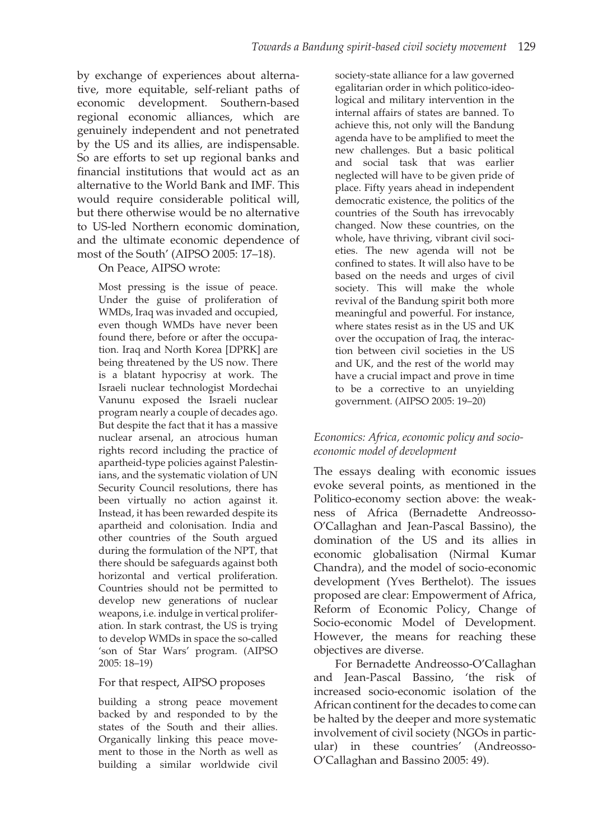by exchange of experiences about alternative, more equitable, self-reliant paths of economic development. Southern-based regional economic alliances, which are genuinely independent and not penetrated by the US and its allies, are indispensable. So are efforts to set up regional banks and financial institutions that would act as an alternative to the World Bank and IMF. This would require considerable political will, but there otherwise would be no alternative to US-led Northern economic domination, and the ultimate economic dependence of most of the South' (AIPSO 2005: 17–18).

On Peace, AIPSO wrote:

Most pressing is the issue of peace. Under the guise of proliferation of WMDs, Iraq was invaded and occupied, even though WMDs have never been found there, before or after the occupation. Iraq and North Korea [DPRK] are being threatened by the US now. There is a blatant hypocrisy at work. The Israeli nuclear technologist Mordechai Vanunu exposed the Israeli nuclear program nearly a couple of decades ago. But despite the fact that it has a massive nuclear arsenal, an atrocious human rights record including the practice of apartheid-type policies against Palestinians, and the systematic violation of UN Security Council resolutions, there has been virtually no action against it. Instead, it has been rewarded despite its apartheid and colonisation. India and other countries of the South argued during the formulation of the NPT, that there should be safeguards against both horizontal and vertical proliferation. Countries should not be permitted to develop new generations of nuclear weapons, i.e. indulge in vertical proliferation. In stark contrast, the US is trying to develop WMDs in space the so-called 'son of Star Wars' program. (AIPSO 2005: 18–19)

#### For that respect, AIPSO proposes

building a strong peace movement backed by and responded to by the states of the South and their allies. Organically linking this peace movement to those in the North as well as building a similar worldwide civil society-state alliance for a law governed egalitarian order in which politico-ideological and military intervention in the internal affairs of states are banned. To achieve this, not only will the Bandung agenda have to be amplified to meet the new challenges. But a basic political and social task that was earlier neglected will have to be given pride of place. Fifty years ahead in independent democratic existence, the politics of the countries of the South has irrevocably changed. Now these countries, on the whole, have thriving, vibrant civil societies. The new agenda will not be confined to states. It will also have to be based on the needs and urges of civil society. This will make the whole revival of the Bandung spirit both more meaningful and powerful. For instance, where states resist as in the US and UK over the occupation of Iraq, the interaction between civil societies in the US and UK, and the rest of the world may have a crucial impact and prove in time to be a corrective to an unyielding government. (AIPSO 2005: 19–20)

### *Economics: Africa, economic policy and socioeconomic model of development*

The essays dealing with economic issues evoke several points, as mentioned in the Politico-economy section above: the weakness of Africa (Bernadette Andreosso-O'Callaghan and Jean-Pascal Bassino), the domination of the US and its allies in economic globalisation (Nirmal Kumar Chandra), and the model of socio-economic development (Yves Berthelot). The issues proposed are clear: Empowerment of Africa, Reform of Economic Policy, Change of Socio-economic Model of Development. However, the means for reaching these objectives are diverse.

For Bernadette Andreosso-O'Callaghan and Jean-Pascal Bassino, 'the risk of increased socio-economic isolation of the African continent for the decades to come can be halted by the deeper and more systematic involvement of civil society (NGOs in particular) in these countries' (Andreosso-O'Callaghan and Bassino 2005: 49).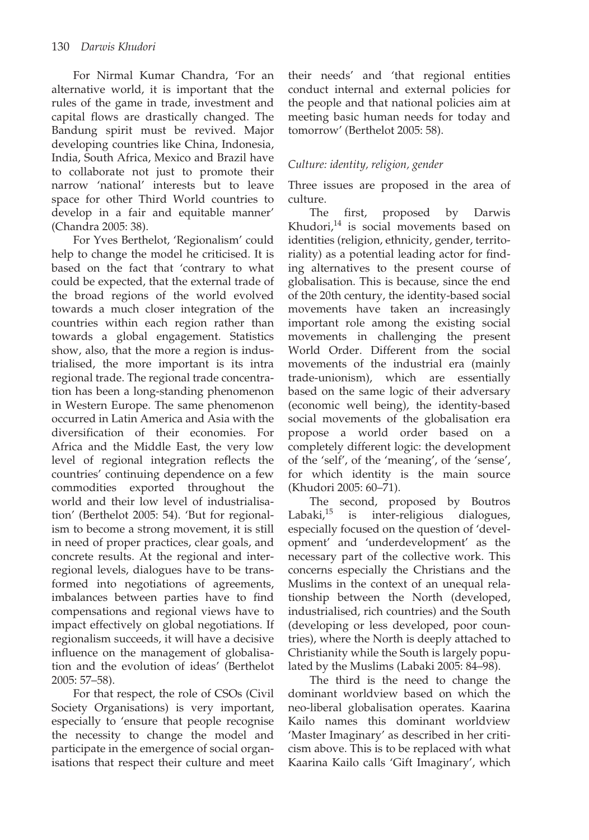For Nirmal Kumar Chandra, 'For an alternative world, it is important that the rules of the game in trade, investment and capital flows are drastically changed. The Bandung spirit must be revived. Major developing countries like China, Indonesia, India, South Africa, Mexico and Brazil have to collaborate not just to promote their narrow 'national' interests but to leave space for other Third World countries to develop in a fair and equitable manner' (Chandra 2005: 38).

For Yves Berthelot, 'Regionalism' could help to change the model he criticised. It is based on the fact that 'contrary to what could be expected, that the external trade of the broad regions of the world evolved towards a much closer integration of the countries within each region rather than towards a global engagement. Statistics show, also, that the more a region is industrialised, the more important is its intra regional trade. The regional trade concentration has been a long-standing phenomenon in Western Europe. The same phenomenon occurred in Latin America and Asia with the diversification of their economies. For Africa and the Middle East, the very low level of regional integration reflects the countries' continuing dependence on a few commodities exported throughout the world and their low level of industrialisation' (Berthelot 2005: 54). 'But for regionalism to become a strong movement, it is still in need of proper practices, clear goals, and concrete results. At the regional and interregional levels, dialogues have to be transformed into negotiations of agreements, imbalances between parties have to find compensations and regional views have to impact effectively on global negotiations. If regionalism succeeds, it will have a decisive influence on the management of globalisation and the evolution of ideas' (Berthelot 2005: 57–58).

For that respect, the role of CSOs (Civil Society Organisations) is very important, especially to 'ensure that people recognise the necessity to change the model and participate in the emergence of social organisations that respect their culture and meet their needs' and 'that regional entities conduct internal and external policies for the people and that national policies aim at meeting basic human needs for today and tomorrow' (Berthelot 2005: 58).

### *Culture: identity, religion, gender*

Three issues are proposed in the area of culture.

The first, proposed by Darwis Khudori,<sup>14</sup> is social movements based on identities (religion, ethnicity, gender, territoriality) as a potential leading actor for finding alternatives to the present course of globalisation. This is because, since the end of the 20th century, the identity-based social movements have taken an increasingly important role among the existing social movements in challenging the present World Order. Different from the social movements of the industrial era (mainly trade-unionism), which are essentially based on the same logic of their adversary (economic well being), the identity-based social movements of the globalisation era propose a world order based on a completely different logic: the development of the 'self', of the 'meaning', of the 'sense', for which identity is the main source (Khudori 2005: 60–71).

The second, proposed by Boutros Labaki, $15$  is inter-religious dialogues, especially focused on the question of 'development' and 'underdevelopment' as the necessary part of the collective work. This concerns especially the Christians and the Muslims in the context of an unequal relationship between the North (developed, industrialised, rich countries) and the South (developing or less developed, poor countries), where the North is deeply attached to Christianity while the South is largely populated by the Muslims (Labaki 2005: 84–98).

The third is the need to change the dominant worldview based on which the neo-liberal globalisation operates. Kaarina Kailo names this dominant worldview 'Master Imaginary' as described in her criticism above. This is to be replaced with what Kaarina Kailo calls 'Gift Imaginary', which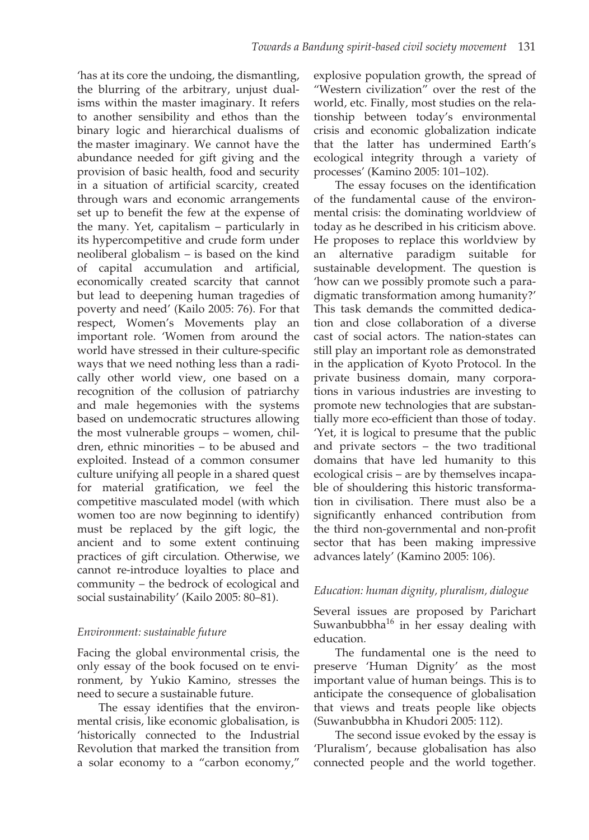'has at its core the undoing, the dismantling, the blurring of the arbitrary, unjust dualisms within the master imaginary. It refers to another sensibility and ethos than the binary logic and hierarchical dualisms of the master imaginary. We cannot have the abundance needed for gift giving and the provision of basic health, food and security in a situation of artificial scarcity, created through wars and economic arrangements set up to benefit the few at the expense of the many. Yet, capitalism – particularly in its hypercompetitive and crude form under neoliberal globalism – is based on the kind of capital accumulation and artificial, economically created scarcity that cannot but lead to deepening human tragedies of poverty and need' (Kailo 2005: 76). For that respect, Women's Movements play an important role. 'Women from around the world have stressed in their culture-specific ways that we need nothing less than a radically other world view, one based on a recognition of the collusion of patriarchy and male hegemonies with the systems based on undemocratic structures allowing the most vulnerable groups – women, children, ethnic minorities – to be abused and exploited. Instead of a common consumer culture unifying all people in a shared quest for material gratification, we feel the competitive masculated model (with which women too are now beginning to identify) must be replaced by the gift logic, the ancient and to some extent continuing practices of gift circulation. Otherwise, we cannot re-introduce loyalties to place and community – the bedrock of ecological and social sustainability' (Kailo 2005: 80–81).

#### *Environment: sustainable future*

Facing the global environmental crisis, the only essay of the book focused on te environment, by Yukio Kamino, stresses the need to secure a sustainable future.

The essay identifies that the environmental crisis, like economic globalisation, is 'historically connected to the Industrial Revolution that marked the transition from a solar economy to a "carbon economy,"

explosive population growth, the spread of "Western civilization" over the rest of the world, etc. Finally, most studies on the relationship between today's environmental crisis and economic globalization indicate that the latter has undermined Earth's ecological integrity through a variety of processes' (Kamino 2005: 101–102).

The essay focuses on the identification of the fundamental cause of the environmental crisis: the dominating worldview of today as he described in his criticism above. He proposes to replace this worldview by an alternative paradigm suitable for sustainable development. The question is 'how can we possibly promote such a paradigmatic transformation among humanity?' This task demands the committed dedication and close collaboration of a diverse cast of social actors. The nation-states can still play an important role as demonstrated in the application of Kyoto Protocol. In the private business domain, many corporations in various industries are investing to promote new technologies that are substantially more eco-efficient than those of today. 'Yet, it is logical to presume that the public and private sectors – the two traditional domains that have led humanity to this ecological crisis – are by themselves incapable of shouldering this historic transformation in civilisation. There must also be a significantly enhanced contribution from the third non-governmental and non-profit sector that has been making impressive advances lately' (Kamino 2005: 106).

#### *Education: human dignity, pluralism, dialogue*

Several issues are proposed by Parichart Suwanbubbha $16$  in her essay dealing with education.

The fundamental one is the need to preserve 'Human Dignity' as the most important value of human beings. This is to anticipate the consequence of globalisation that views and treats people like objects (Suwanbubbha in Khudori 2005: 112).

The second issue evoked by the essay is 'Pluralism', because globalisation has also connected people and the world together.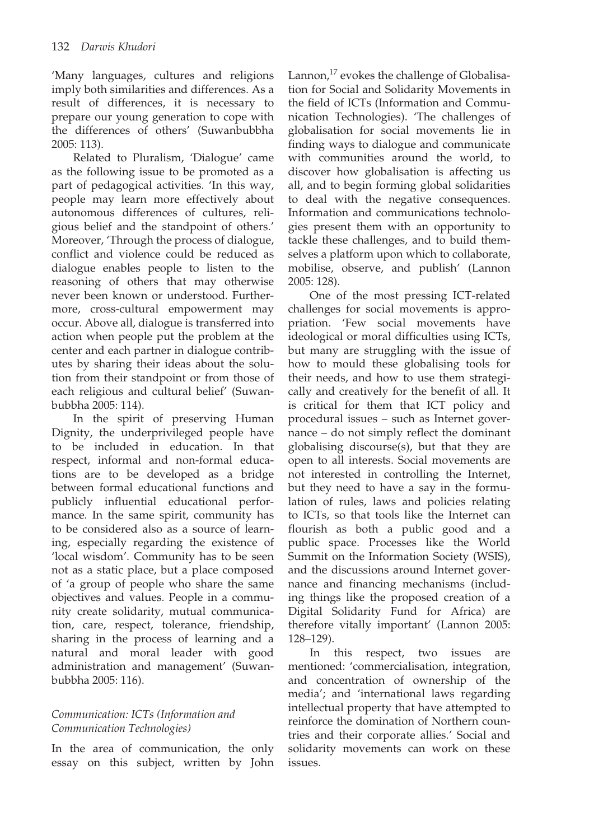'Many languages, cultures and religions imply both similarities and differences. As a result of differences, it is necessary to prepare our young generation to cope with the differences of others' (Suwanbubbha 2005: 113).

Related to Pluralism, 'Dialogue' came as the following issue to be promoted as a part of pedagogical activities. 'In this way, people may learn more effectively about autonomous differences of cultures, religious belief and the standpoint of others.' Moreover, 'Through the process of dialogue, conflict and violence could be reduced as dialogue enables people to listen to the reasoning of others that may otherwise never been known or understood. Furthermore, cross-cultural empowerment may occur. Above all, dialogue is transferred into action when people put the problem at the center and each partner in dialogue contributes by sharing their ideas about the solution from their standpoint or from those of each religious and cultural belief' (Suwanbubbha 2005: 114).

In the spirit of preserving Human Dignity, the underprivileged people have to be included in education. In that respect, informal and non-formal educations are to be developed as a bridge between formal educational functions and publicly influential educational performance. In the same spirit, community has to be considered also as a source of learning, especially regarding the existence of 'local wisdom'. Community has to be seen not as a static place, but a place composed of 'a group of people who share the same objectives and values. People in a community create solidarity, mutual communication, care, respect, tolerance, friendship, sharing in the process of learning and a natural and moral leader with good administration and management' (Suwanbubbha 2005: 116).

### *Communication: ICTs (Information and Communication Technologies)*

In the area of communication, the only essay on this subject, written by John Lannon,<sup>17</sup> evokes the challenge of Globalisation for Social and Solidarity Movements in the field of ICTs (Information and Communication Technologies). 'The challenges of globalisation for social movements lie in finding ways to dialogue and communicate with communities around the world, to discover how globalisation is affecting us all, and to begin forming global solidarities to deal with the negative consequences. Information and communications technologies present them with an opportunity to tackle these challenges, and to build themselves a platform upon which to collaborate, mobilise, observe, and publish' (Lannon 2005: 128).

One of the most pressing ICT-related challenges for social movements is appropriation. 'Few social movements have ideological or moral difficulties using ICTs, but many are struggling with the issue of how to mould these globalising tools for their needs, and how to use them strategically and creatively for the benefit of all. It is critical for them that ICT policy and procedural issues – such as Internet governance – do not simply reflect the dominant globalising discourse(s), but that they are open to all interests. Social movements are not interested in controlling the Internet, but they need to have a say in the formulation of rules, laws and policies relating to ICTs, so that tools like the Internet can flourish as both a public good and a public space. Processes like the World Summit on the Information Society (WSIS), and the discussions around Internet governance and financing mechanisms (including things like the proposed creation of a Digital Solidarity Fund for Africa) are therefore vitally important' (Lannon 2005: 128–129).

In this respect, two issues are mentioned: 'commercialisation, integration, and concentration of ownership of the media'; and 'international laws regarding intellectual property that have attempted to reinforce the domination of Northern countries and their corporate allies.' Social and solidarity movements can work on these issues.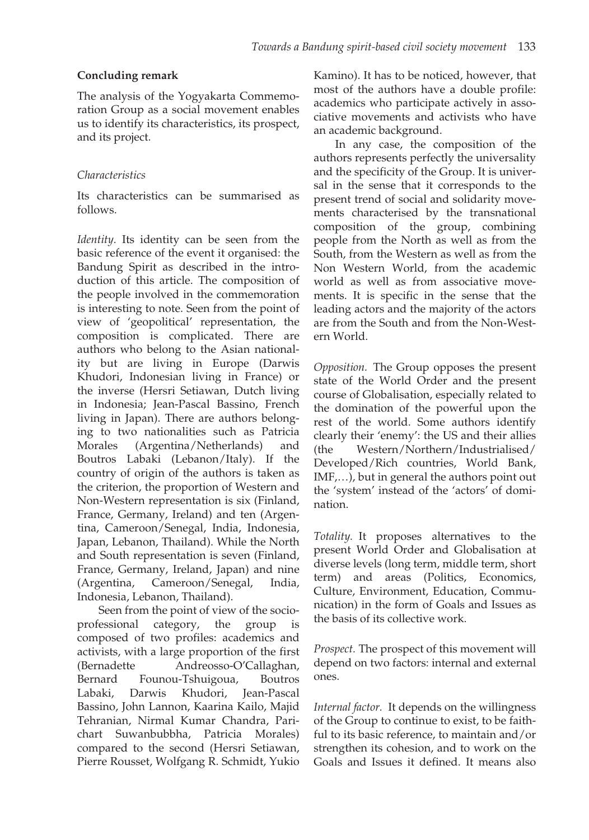#### **Concluding remark**

The analysis of the Yogyakarta Commemoration Group as a social movement enables us to identify its characteristics, its prospect, and its project.

#### *Characteristics*

Its characteristics can be summarised as follows.

*Identity.* Its identity can be seen from the basic reference of the event it organised: the Bandung Spirit as described in the introduction of this article. The composition of the people involved in the commemoration is interesting to note. Seen from the point of view of 'geopolitical' representation, the composition is complicated. There are authors who belong to the Asian nationality but are living in Europe (Darwis Khudori, Indonesian living in France) or the inverse (Hersri Setiawan, Dutch living in Indonesia; Jean-Pascal Bassino, French living in Japan). There are authors belonging to two nationalities such as Patricia Morales (Argentina/Netherlands) and Boutros Labaki (Lebanon/Italy). If the country of origin of the authors is taken as the criterion, the proportion of Western and Non-Western representation is six (Finland, France, Germany, Ireland) and ten (Argentina, Cameroon/Senegal, India, Indonesia, Japan, Lebanon, Thailand). While the North and South representation is seven (Finland, France, Germany, Ireland, Japan) and nine (Argentina, Cameroon/Senegal, India, Indonesia, Lebanon, Thailand).

Seen from the point of view of the socioprofessional category, the group is composed of two profiles: academics and activists, with a large proportion of the first (Bernadette Andreosso-O'Callaghan, Bernard Founou-Tshuigoua, Boutros Labaki, Darwis Khudori, Jean-Pascal Bassino, John Lannon, Kaarina Kailo, Majid Tehranian, Nirmal Kumar Chandra, Parichart Suwanbubbha, Patricia Morales) compared to the second (Hersri Setiawan, Pierre Rousset, Wolfgang R. Schmidt, Yukio

Kamino). It has to be noticed, however, that most of the authors have a double profile: academics who participate actively in associative movements and activists who have an academic background.

In any case, the composition of the authors represents perfectly the universality and the specificity of the Group. It is universal in the sense that it corresponds to the present trend of social and solidarity movements characterised by the transnational composition of the group, combining people from the North as well as from the South, from the Western as well as from the Non Western World, from the academic world as well as from associative movements. It is specific in the sense that the leading actors and the majority of the actors are from the South and from the Non-Western World.

*Opposition.* The Group opposes the present state of the World Order and the present course of Globalisation, especially related to the domination of the powerful upon the rest of the world. Some authors identify clearly their 'enemy': the US and their allies (the Western/Northern/Industrialised/ Developed/Rich countries, World Bank, IMF,…), but in general the authors point out the 'system' instead of the 'actors' of domination.

*Totality.* It proposes alternatives to the present World Order and Globalisation at diverse levels (long term, middle term, short term) and areas (Politics, Economics, Culture, Environment, Education, Communication) in the form of Goals and Issues as the basis of its collective work.

*Prospect.* The prospect of this movement will depend on two factors: internal and external ones.

*Internal factor.* It depends on the willingness of the Group to continue to exist, to be faithful to its basic reference, to maintain and/or strengthen its cohesion, and to work on the Goals and Issues it defined. It means also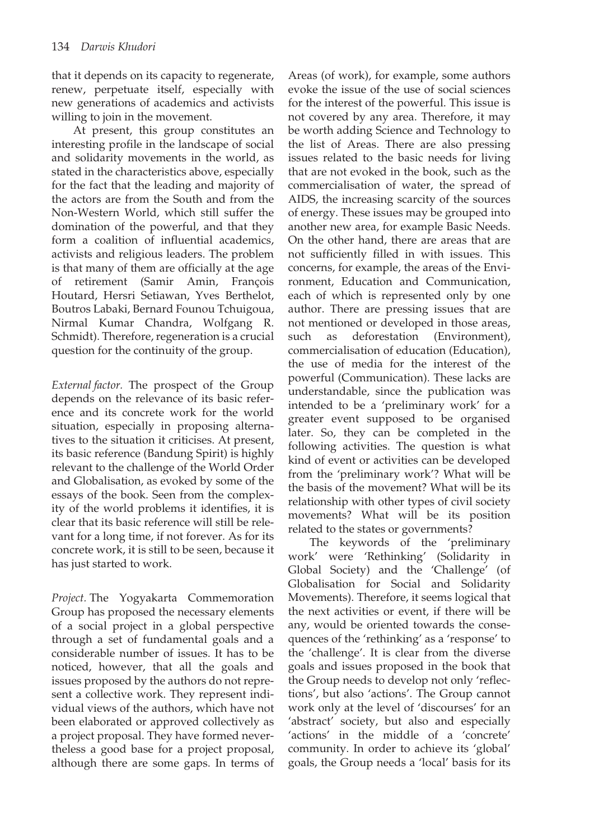that it depends on its capacity to regenerate, renew, perpetuate itself, especially with new generations of academics and activists willing to join in the movement.

At present, this group constitutes an interesting profile in the landscape of social and solidarity movements in the world, as stated in the characteristics above, especially for the fact that the leading and majority of the actors are from the South and from the Non-Western World, which still suffer the domination of the powerful, and that they form a coalition of influential academics, activists and religious leaders. The problem is that many of them are officially at the age of retirement (Samir Amin, François Houtard, Hersri Setiawan, Yves Berthelot, Boutros Labaki, Bernard Founou Tchuigoua, Nirmal Kumar Chandra, Wolfgang R. Schmidt). Therefore, regeneration is a crucial question for the continuity of the group.

*External factor.* The prospect of the Group depends on the relevance of its basic reference and its concrete work for the world situation, especially in proposing alternatives to the situation it criticises. At present, its basic reference (Bandung Spirit) is highly relevant to the challenge of the World Order and Globalisation, as evoked by some of the essays of the book. Seen from the complexity of the world problems it identifies, it is clear that its basic reference will still be relevant for a long time, if not forever. As for its concrete work, it is still to be seen, because it has just started to work.

*Project.* The Yogyakarta Commemoration Group has proposed the necessary elements of a social project in a global perspective through a set of fundamental goals and a considerable number of issues. It has to be noticed, however, that all the goals and issues proposed by the authors do not represent a collective work. They represent individual views of the authors, which have not been elaborated or approved collectively as a project proposal. They have formed nevertheless a good base for a project proposal, although there are some gaps. In terms of

Areas (of work), for example, some authors evoke the issue of the use of social sciences for the interest of the powerful. This issue is not covered by any area. Therefore, it may be worth adding Science and Technology to the list of Areas. There are also pressing issues related to the basic needs for living that are not evoked in the book, such as the commercialisation of water, the spread of AIDS, the increasing scarcity of the sources of energy. These issues may be grouped into another new area, for example Basic Needs. On the other hand, there are areas that are not sufficiently filled in with issues. This concerns, for example, the areas of the Environment, Education and Communication, each of which is represented only by one author. There are pressing issues that are not mentioned or developed in those areas, such as deforestation (Environment), commercialisation of education (Education), the use of media for the interest of the powerful (Communication). These lacks are understandable, since the publication was intended to be a 'preliminary work' for a greater event supposed to be organised later. So, they can be completed in the following activities. The question is what kind of event or activities can be developed from the 'preliminary work'? What will be the basis of the movement? What will be its relationship with other types of civil society movements? What will be its position related to the states or governments?

The keywords of the 'preliminary work' were 'Rethinking' (Solidarity in Global Society) and the 'Challenge' (of Globalisation for Social and Solidarity Movements). Therefore, it seems logical that the next activities or event, if there will be any, would be oriented towards the consequences of the 'rethinking' as a 'response' to the 'challenge'. It is clear from the diverse goals and issues proposed in the book that the Group needs to develop not only 'reflections', but also 'actions'. The Group cannot work only at the level of 'discourses' for an 'abstract' society, but also and especially 'actions' in the middle of a 'concrete' community. In order to achieve its 'global' goals, the Group needs a 'local' basis for its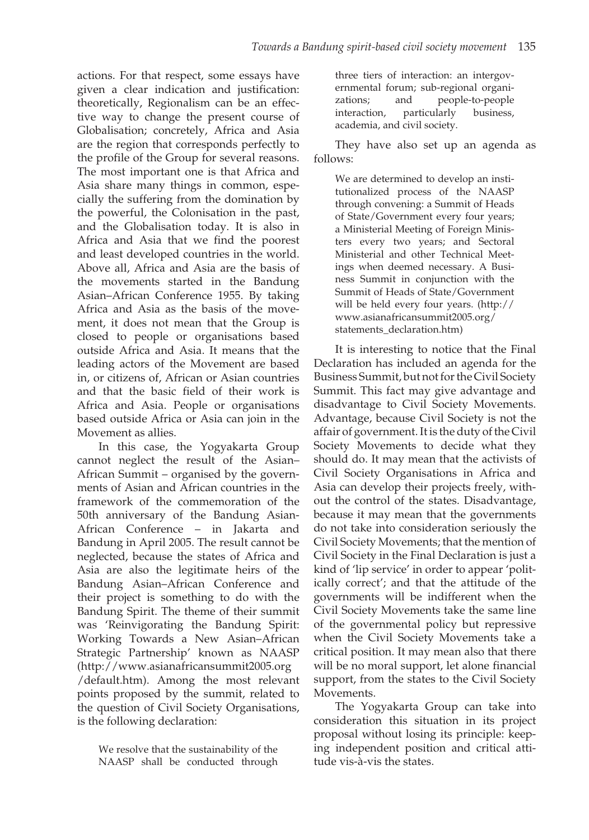actions. For that respect, some essays have given a clear indication and justification: theoretically, Regionalism can be an effective way to change the present course of Globalisation; concretely, Africa and Asia are the region that corresponds perfectly to the profile of the Group for several reasons. The most important one is that Africa and Asia share many things in common, especially the suffering from the domination by the powerful, the Colonisation in the past, and the Globalisation today. It is also in Africa and Asia that we find the poorest and least developed countries in the world. Above all, Africa and Asia are the basis of the movements started in the Bandung Asian–African Conference 1955. By taking Africa and Asia as the basis of the movement, it does not mean that the Group is closed to people or organisations based outside Africa and Asia. It means that the leading actors of the Movement are based in, or citizens of, African or Asian countries and that the basic field of their work is Africa and Asia. People or organisations based outside Africa or Asia can join in the Movement as allies.

In this case, the Yogyakarta Group cannot neglect the result of the Asian– African Summit – organised by the governments of Asian and African countries in the framework of the commemoration of the 50th anniversary of the Bandung Asian-African Conference – in Jakarta and Bandung in April 2005. The result cannot be neglected, because the states of Africa and Asia are also the legitimate heirs of the Bandung Asian–African Conference and their project is something to do with the Bandung Spirit. The theme of their summit was 'Reinvigorating the Bandung Spirit: Working Towards a New Asian–African Strategic Partnership' known as NAASP (http://www.asianafricansummit2005.org /default.htm). Among the most relevant points proposed by the summit, related to the question of Civil Society Organisations, is the following declaration:

We resolve that the sustainability of the NAASP shall be conducted through three tiers of interaction: an intergovernmental forum; sub-regional organizations; and people-to-people interaction, particularly business, academia, and civil society.

They have also set up an agenda as follows:

We are determined to develop an institutionalized process of the NAASP through convening: a Summit of Heads of State/Government every four years; a Ministerial Meeting of Foreign Ministers every two years; and Sectoral Ministerial and other Technical Meetings when deemed necessary. A Business Summit in conjunction with the Summit of Heads of State/Government will be held every four years. (http:// www.asianafricansummit2005.org/ statements\_declaration.htm)

It is interesting to notice that the Final Declaration has included an agenda for the Business Summit, but not for the Civil Society Summit. This fact may give advantage and disadvantage to Civil Society Movements. Advantage, because Civil Society is not the affair of government. It is the duty of the Civil Society Movements to decide what they should do. It may mean that the activists of Civil Society Organisations in Africa and Asia can develop their projects freely, without the control of the states. Disadvantage, because it may mean that the governments do not take into consideration seriously the Civil Society Movements; that the mention of Civil Society in the Final Declaration is just a kind of 'lip service' in order to appear 'politically correct'; and that the attitude of the governments will be indifferent when the Civil Society Movements take the same line of the governmental policy but repressive when the Civil Society Movements take a critical position. It may mean also that there will be no moral support, let alone financial support, from the states to the Civil Society Movements.

The Yogyakarta Group can take into consideration this situation in its project proposal without losing its principle: keeping independent position and critical attitude vis-à-vis the states.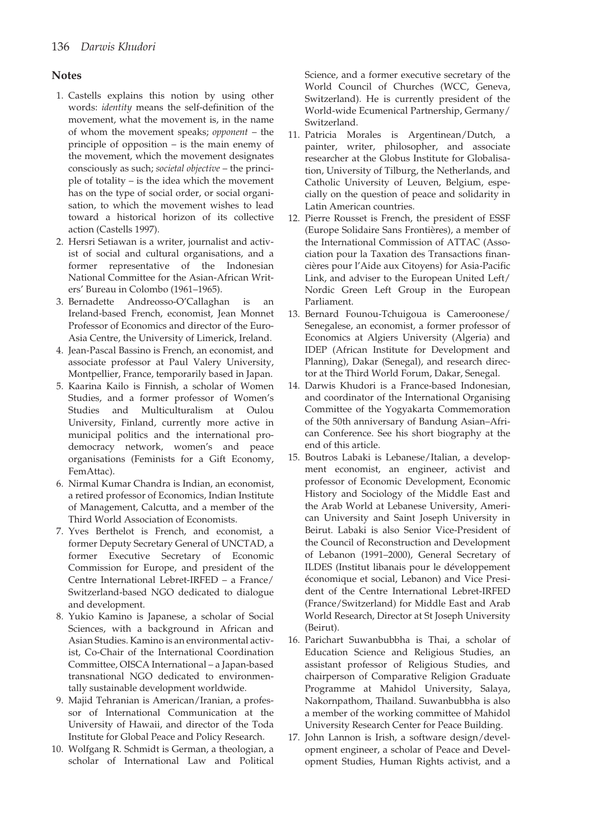#### **Notes**

- 1. Castells explains this notion by using other words: *identity* means the self-definition of the movement, what the movement is, in the name of whom the movement speaks; *opponent* – the principle of opposition – is the main enemy of the movement, which the movement designates consciously as such; *societal objective* – the principle of totality – is the idea which the movement has on the type of social order, or social organisation, to which the movement wishes to lead toward a historical horizon of its collective action (Castells 1997).
- 2. Hersri Setiawan is a writer, journalist and activist of social and cultural organisations, and a former representative of the Indonesian National Committee for the Asian-African Writers' Bureau in Colombo (1961–1965).
- 3. Bernadette Andreosso-O'Callaghan is an Ireland-based French, economist, Jean Monnet Professor of Economics and director of the Euro-Asia Centre, the University of Limerick, Ireland.
- 4. Jean-Pascal Bassino is French, an economist, and associate professor at Paul Valery University, Montpellier, France, temporarily based in Japan.
- 5. Kaarina Kailo is Finnish, a scholar of Women Studies, and a former professor of Women's Studies and Multiculturalism at Oulou University, Finland, currently more active in municipal politics and the international prodemocracy network, women's and peace organisations (Feminists for a Gift Economy, FemAttac).
- 6. Nirmal Kumar Chandra is Indian, an economist, a retired professor of Economics, Indian Institute of Management, Calcutta, and a member of the Third World Association of Economists.
- 7. Yves Berthelot is French, and economist, a former Deputy Secretary General of UNCTAD, a former Executive Secretary of Economic Commission for Europe, and president of the Centre International Lebret-IRFED – a France/ Switzerland-based NGO dedicated to dialogue and development.
- 8. Yukio Kamino is Japanese, a scholar of Social Sciences, with a background in African and Asian Studies. Kamino is an environmental activist, Co-Chair of the International Coordination Committee, OISCA International – a Japan-based transnational NGO dedicated to environmentally sustainable development worldwide.
- 9. Majid Tehranian is American/Iranian, a professor of International Communication at the University of Hawaii, and director of the Toda Institute for Global Peace and Policy Research.
- 10. Wolfgang R. Schmidt is German, a theologian, a scholar of International Law and Political

Science, and a former executive secretary of the World Council of Churches (WCC, Geneva, Switzerland). He is currently president of the World-wide Ecumenical Partnership, Germany/ Switzerland.

- 11. Patricia Morales is Argentinean/Dutch, a painter, writer, philosopher, and associate researcher at the Globus Institute for Globalisation, University of Tilburg, the Netherlands, and Catholic University of Leuven, Belgium, especially on the question of peace and solidarity in Latin American countries.
- 12. Pierre Rousset is French, the president of ESSF (Europe Solidaire Sans Frontières), a member of the International Commission of ATTAC (Association pour la Taxation des Transactions financières pour l'Aide aux Citoyens) for Asia-Pacific Link, and adviser to the European United Left/ Nordic Green Left Group in the European Parliament.
- 13. Bernard Founou-Tchuigoua is Cameroonese/ Senegalese, an economist, a former professor of Economics at Algiers University (Algeria) and IDEP (African Institute for Development and Planning), Dakar (Senegal), and research director at the Third World Forum, Dakar, Senegal.
- 14. Darwis Khudori is a France-based Indonesian, and coordinator of the International Organising Committee of the Yogyakarta Commemoration of the 50th anniversary of Bandung Asian–African Conference. See his short biography at the end of this article.
- 15. Boutros Labaki is Lebanese/Italian, a development economist, an engineer, activist and professor of Economic Development, Economic History and Sociology of the Middle East and the Arab World at Lebanese University, American University and Saint Joseph University in Beirut. Labaki is also Senior Vice-President of the Council of Reconstruction and Development of Lebanon (1991–2000), General Secretary of ILDES (Institut libanais pour le développement économique et social, Lebanon) and Vice President of the Centre International Lebret-IRFED (France/Switzerland) for Middle East and Arab World Research, Director at St Joseph University (Beirut).
- 16. Parichart Suwanbubbha is Thai, a scholar of Education Science and Religious Studies, an assistant professor of Religious Studies, and chairperson of Comparative Religion Graduate Programme at Mahidol University, Salaya, Nakornpathom, Thailand. Suwanbubbha is also a member of the working committee of Mahidol University Research Center for Peace Building.
- 17. John Lannon is Irish, a software design/development engineer, a scholar of Peace and Development Studies, Human Rights activist, and a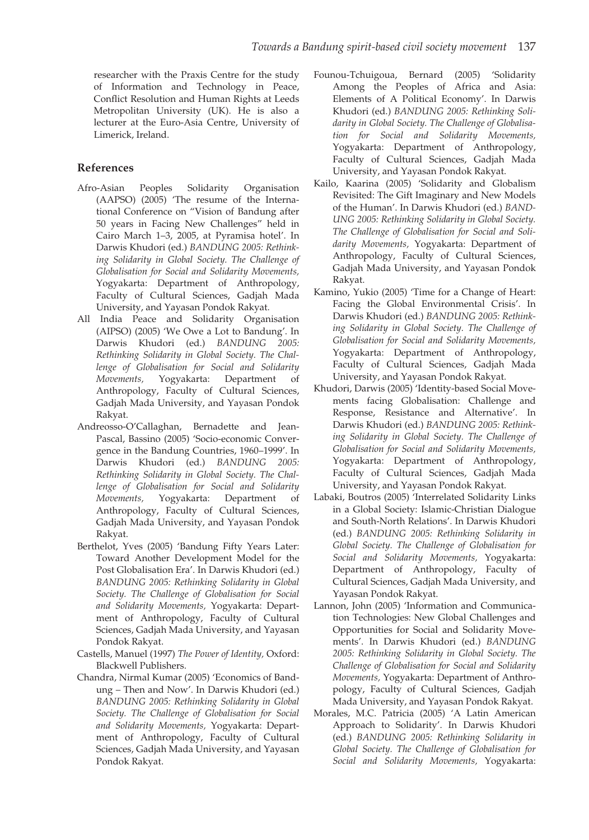researcher with the Praxis Centre for the study of Information and Technology in Peace, Conflict Resolution and Human Rights at Leeds Metropolitan University (UK). He is also a lecturer at the Euro-Asia Centre, University of Limerick, Ireland.

#### **References**

- Afro-Asian Peoples Solidarity Organisation (AAPSO) (2005) 'The resume of the International Conference on "Vision of Bandung after 50 years in Facing New Challenges" held in Cairo March 1–3, 2005, at Pyramisa hotel'. In Darwis Khudori (ed.) *BANDUNG 2005: Rethinking Solidarity in Global Society. The Challenge of Globalisation for Social and Solidarity Movements,* Yogyakarta: Department of Anthropology, Faculty of Cultural Sciences, Gadjah Mada University, and Yayasan Pondok Rakyat.
- All India Peace and Solidarity Organisation (AIPSO) (2005) 'We Owe a Lot to Bandung'. In Darwis Khudori (ed.) *BANDUNG 2005: Rethinking Solidarity in Global Society. The Challenge of Globalisation for Social and Solidarity Movements,* Yogyakarta: Department of Anthropology, Faculty of Cultural Sciences, Gadjah Mada University, and Yayasan Pondok Rakyat.
- Andreosso-O'Callaghan, Bernadette and Jean-Pascal, Bassino (2005) 'Socio-economic Convergence in the Bandung Countries, 1960–1999'. In Darwis Khudori (ed.) *BANDUNG 2005: Rethinking Solidarity in Global Society. The Challenge of Globalisation for Social and Solidarity Movements,* Yogyakarta: Department of Anthropology, Faculty of Cultural Sciences, Gadjah Mada University, and Yayasan Pondok Rakyat.
- Berthelot, Yves (2005) 'Bandung Fifty Years Later: Toward Another Development Model for the Post Globalisation Era'. In Darwis Khudori (ed.) *BANDUNG 2005: Rethinking Solidarity in Global Society. The Challenge of Globalisation for Social and Solidarity Movements,* Yogyakarta: Department of Anthropology, Faculty of Cultural Sciences, Gadjah Mada University, and Yayasan Pondok Rakyat.
- Castells, Manuel (1997) *The Power of Identity,* Oxford: Blackwell Publishers.
- Chandra, Nirmal Kumar (2005) 'Economics of Bandung – Then and Now'. In Darwis Khudori (ed.) *BANDUNG 2005: Rethinking Solidarity in Global Society. The Challenge of Globalisation for Social and Solidarity Movements,* Yogyakarta: Department of Anthropology, Faculty of Cultural Sciences, Gadjah Mada University, and Yayasan Pondok Rakyat.
- Founou-Tchuigoua, Bernard (2005) 'Solidarity Among the Peoples of Africa and Asia: Elements of A Political Economy'. In Darwis Khudori (ed.) *BANDUNG 2005: Rethinking Solidarity in Global Society. The Challenge of Globalisation for Social and Solidarity Movements,* Yogyakarta: Department of Anthropology, Faculty of Cultural Sciences, Gadjah Mada University, and Yayasan Pondok Rakyat.
- Kailo, Kaarina (2005) 'Solidarity and Globalism Revisited: The Gift Imaginary and New Models of the Human'. In Darwis Khudori (ed.) *BAND-UNG 2005: Rethinking Solidarity in Global Society. The Challenge of Globalisation for Social and Solidarity Movements,* Yogyakarta: Department of Anthropology, Faculty of Cultural Sciences, Gadjah Mada University, and Yayasan Pondok Rakyat.
- Kamino, Yukio (2005) 'Time for a Change of Heart: Facing the Global Environmental Crisis'. In Darwis Khudori (ed.) *BANDUNG 2005: Rethinking Solidarity in Global Society. The Challenge of Globalisation for Social and Solidarity Movements,* Yogyakarta: Department of Anthropology, Faculty of Cultural Sciences, Gadjah Mada University, and Yayasan Pondok Rakyat.
- Khudori, Darwis (2005) 'Identity-based Social Movements facing Globalisation: Challenge and Response, Resistance and Alternative'. In Darwis Khudori (ed.) *BANDUNG 2005: Rethinking Solidarity in Global Society. The Challenge of Globalisation for Social and Solidarity Movements,* Yogyakarta: Department of Anthropology, Faculty of Cultural Sciences, Gadjah Mada University, and Yayasan Pondok Rakyat.
- Labaki, Boutros (2005) 'Interrelated Solidarity Links in a Global Society: Islamic-Christian Dialogue and South-North Relations'. In Darwis Khudori (ed.) *BANDUNG 2005: Rethinking Solidarity in Global Society. The Challenge of Globalisation for Social and Solidarity Movements,* Yogyakarta: Department of Anthropology, Faculty of Cultural Sciences, Gadjah Mada University, and Yayasan Pondok Rakyat.
- Lannon, John (2005) 'Information and Communication Technologies: New Global Challenges and Opportunities for Social and Solidarity Movements'. In Darwis Khudori (ed.) *BANDUNG 2005: Rethinking Solidarity in Global Society. The Challenge of Globalisation for Social and Solidarity Movements,* Yogyakarta: Department of Anthropology, Faculty of Cultural Sciences, Gadjah Mada University, and Yayasan Pondok Rakyat.
- Morales, M.C. Patricia (2005) 'A Latin American Approach to Solidarity'. In Darwis Khudori (ed.) *BANDUNG 2005: Rethinking Solidarity in Global Society. The Challenge of Globalisation for Social and Solidarity Movements,* Yogyakarta: